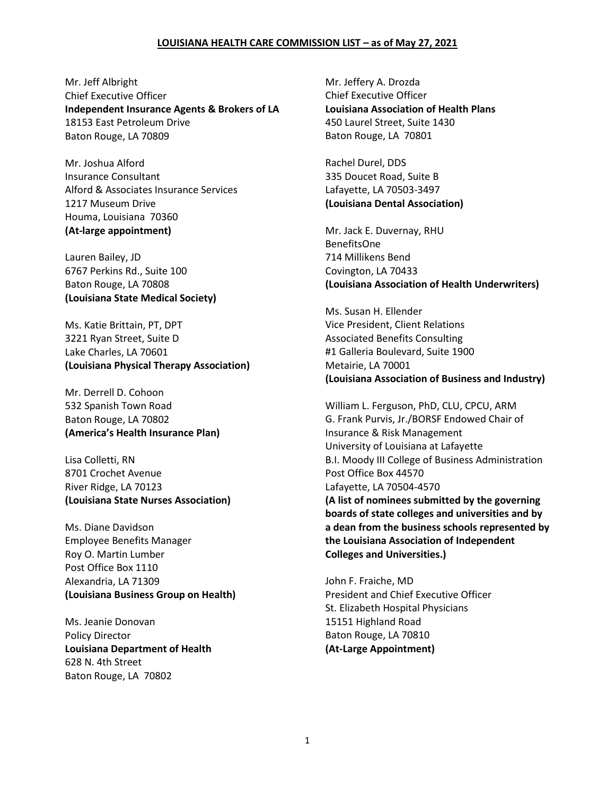## **LOUISIANA HEALTH CARE COMMISSION LIST – as of May 27, 2021**

Mr. Jeff Albright Chief Executive Officer **Independent Insurance Agents & Brokers of LA** 18153 East Petroleum Drive Baton Rouge, LA 70809

Mr. Joshua Alford Insurance Consultant Alford & Associates Insurance Services 1217 Museum Drive Houma, Louisiana 70360 **(At-large appointment)**

Lauren Bailey, JD 6767 Perkins Rd., Suite 100 Baton Rouge, LA 70808 **(Louisiana State Medical Society)**

Ms. Katie Brittain, PT, DPT 3221 Ryan Street, Suite D Lake Charles, LA 70601 **(Louisiana Physical Therapy Association)**

Mr. Derrell D. Cohoon 532 Spanish Town Road Baton Rouge, LA 70802 **(America's Health Insurance Plan)**

Lisa Colletti, RN 8701 Crochet Avenue River Ridge, LA 70123 **(Louisiana State Nurses Association)**

Ms. Diane Davidson Employee Benefits Manager Roy O. Martin Lumber Post Office Box 1110 Alexandria, LA 71309 **(Louisiana Business Group on Health)**

Ms. Jeanie Donovan Policy Director **Louisiana Department of Health** 628 N. 4th Street Baton Rouge, LA 70802

Mr. Jeffery A. Drozda Chief Executive Officer **Louisiana Association of Health Plans** 450 Laurel Street, Suite 1430 Baton Rouge, LA 70801

Rachel Durel, DDS 335 Doucet Road, Suite B Lafayette, LA 70503-3497 **(Louisiana Dental Association)**

Mr. Jack E. Duvernay, RHU BenefitsOne 714 Millikens Bend Covington, LA 70433 **(Louisiana Association of Health Underwriters)**

Ms. Susan H. Ellender Vice President, Client Relations Associated Benefits Consulting #1 Galleria Boulevard, Suite 1900 Metairie, LA 70001 **(Louisiana Association of Business and Industry)**

William L. Ferguson, PhD, CLU, CPCU, ARM G. Frank Purvis, Jr./BORSF Endowed Chair of Insurance & Risk Management University of Louisiana at Lafayette B.I. Moody III College of Business Administration Post Office Box 44570 Lafayette, LA 70504-4570 **(A list of nominees submitted by the governing boards of state colleges and universities and by a dean from the business schools represented by the Louisiana Association of Independent Colleges and Universities.)**

John F. Fraiche, MD President and Chief Executive Officer St. Elizabeth Hospital Physicians 15151 Highland Road Baton Rouge, LA 70810 **(At-Large Appointment)**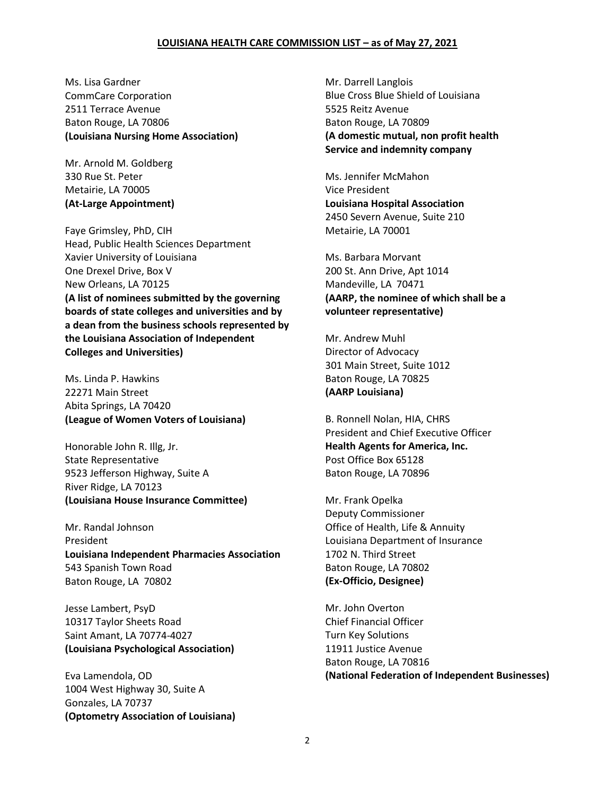## **LOUISIANA HEALTH CARE COMMISSION LIST – as of May 27, 2021**

Ms. Lisa Gardner CommCare Corporation 2511 Terrace Avenue Baton Rouge, LA 70806 **(Louisiana Nursing Home Association)**

Mr. Arnold M. Goldberg 330 Rue St. Peter Metairie, LA 70005 **(At-Large Appointment)**

Faye Grimsley, PhD, CIH Head, Public Health Sciences Department Xavier University of Louisiana One Drexel Drive, Box V New Orleans, LA 70125 **(A list of nominees submitted by the governing boards of state colleges and universities and by a dean from the business schools represented by the Louisiana Association of Independent Colleges and Universities)**

Ms. Linda P. Hawkins 22271 Main Street Abita Springs, LA 70420 **(League of Women Voters of Louisiana)**

Honorable John R. Illg, Jr. State Representative 9523 Jefferson Highway, Suite A River Ridge, LA 70123 **(Louisiana House Insurance Committee)**

Mr. Randal Johnson President **Louisiana Independent Pharmacies Association** 543 Spanish Town Road Baton Rouge, LA 70802

Jesse Lambert, PsyD 10317 Taylor Sheets Road Saint Amant, LA 70774-4027 **(Louisiana Psychological Association)**

Eva Lamendola, OD 1004 West Highway 30, Suite A Gonzales, LA 70737 **(Optometry Association of Louisiana)**

Mr. Darrell Langlois Blue Cross Blue Shield of Louisiana 5525 Reitz Avenue Baton Rouge, LA 70809 **(A domestic mutual, non profit health Service and indemnity company**

Ms. Jennifer McMahon Vice President **Louisiana Hospital Association** 2450 Severn Avenue, Suite 210 Metairie, LA 70001

Ms. Barbara Morvant 200 St. Ann Drive, Apt 1014 Mandeville, LA 70471 **(AARP, the nominee of which shall be a volunteer representative)**

Mr. Andrew Muhl Director of Advocacy 301 Main Street, Suite 1012 Baton Rouge, LA 70825 **(AARP Louisiana)**

B. Ronnell Nolan, HIA, CHRS President and Chief Executive Officer **Health Agents for America, Inc.** Post Office Box 65128 Baton Rouge, LA 70896

Mr. Frank Opelka Deputy Commissioner Office of Health, Life & Annuity Louisiana Department of Insurance 1702 N. Third Street Baton Rouge, LA 70802 **(Ex-Officio, Designee)**

Mr. John Overton Chief Financial Officer Turn Key Solutions 11911 Justice Avenue Baton Rouge, LA 70816 **(National Federation of Independent Businesses)**